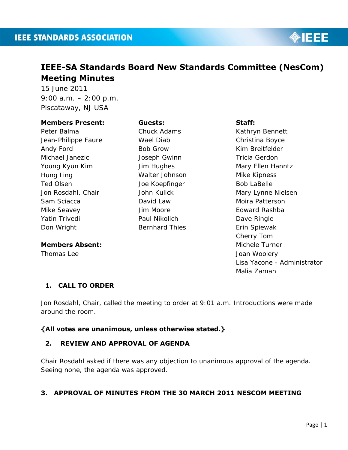

# **IEEE-SA Standards Board New Standards Committee (NesCom) Meeting Minutes**

15 June 2011 9:00 a.m. – 2:00 p.m. Piscataway, NJ USA

#### **Members Present:**

Peter Balma Jean-Philippe Faure Andy Ford Michael Janezic Young Kyun Kim Hung Ling Ted Olsen Jon Rosdahl, Chair Sam Sciacca Mike Seavey Yatin Trivedi Don Wright

#### **Members Absent:**

Thomas Lee

#### **Guests:**

Chuck Adams Wael Diab Bob Grow Joseph Gwinn Jim Hughes Walter Johnson Joe Koepfinger John Kulick David Law Jim Moore Paul Nikolich Bernhard Thies

#### **Staff:**

Kathryn Bennett Christina Boyce Kim Breitfelder Tricia Gerdon Mary Ellen Hanntz Mike Kipness Bob LaBelle Mary Lynne Nielsen Moira Patterson Edward Rashba Dave Ringle Erin Spiewak Cherry Tom Michele Turner Joan Woolery Lisa Yacone - Administrator Malia Zaman

# **1. CALL TO ORDER**

Jon Rosdahl, Chair, called the meeting to order at 9:01 a.m. Introductions were made around the room.

### **{All votes are unanimous, unless otherwise stated.}**

### **2. REVIEW AND APPROVAL OF AGENDA**

Chair Rosdahl asked if there was any objection to unanimous approval of the agenda. Seeing none, the agenda was approved.

# **3. APPROVAL OF MINUTES FROM THE 30 MARCH 2011 NESCOM MEETING**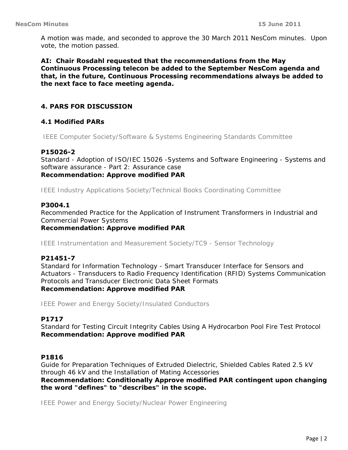A motion was made, and seconded to approve the 30 March 2011 NesCom minutes. Upon vote, the motion passed.

**AI: Chair Rosdahl requested that the recommendations from the May Continuous Processing telecon be added to the September NesCom agenda and that, in the future, Continuous Processing recommendations always be added to the next face to face meeting agenda.** 

### **4. PARS FOR DISCUSSION**

### **4.1 Modified PARs**

*IEEE Computer Society/Software & Systems Engineering Standards Committee* 

#### **P15026-2**

Standard - Adoption of ISO/IEC 15026 -Systems and Software Engineering - Systems and software assurance - Part 2: Assurance case *Recommendation: Approve modified PAR* 

*IEEE Industry Applications Society/Technical Books Coordinating Committee* 

#### **P3004.1**

Recommended Practice for the Application of Instrument Transformers in Industrial and Commercial Power Systems *Recommendation: Approve modified PAR* 

*IEEE Instrumentation and Measurement Society/TC9 - Sensor Technology* 

#### **P21451-7**

Standard for Information Technology - Smart Transducer Interface for Sensors and Actuators - Transducers to Radio Frequency Identification (RFID) Systems Communication Protocols and Transducer Electronic Data Sheet Formats *Recommendation: Approve modified PAR* 

*IEEE Power and Energy Society/Insulated Conductors* 

#### **P1717**

Standard for Testing Circuit Integrity Cables Using A Hydrocarbon Pool Fire Test Protocol *Recommendation: Approve modified PAR* 

#### **P1816**

Guide for Preparation Techniques of Extruded Dielectric, Shielded Cables Rated 2.5 kV through 46 kV and the Installation of Mating Accessories *Recommendation: Conditionally Approve modified PAR contingent upon changing the word "defines" to "describes" in the scope.* 

*IEEE Power and Energy Society/Nuclear Power Engineering*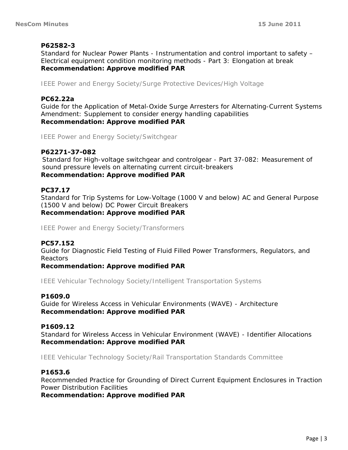### **P62582-3**

Standard for Nuclear Power Plants - Instrumentation and control important to safety – Electrical equipment condition monitoring methods - Part 3: Elongation at break *Recommendation: Approve modified PAR* 

*IEEE Power and Energy Society/Surge Protective Devices/High Voltage* 

### **PC62.22a**

Guide for the Application of Metal-Oxide Surge Arresters for Alternating-Current Systems Amendment: Supplement to consider energy handling capabilities *Recommendation: Approve modified PAR* 

*IEEE Power and Energy Society/Switchgear* 

#### **P62271-37-082**

Standard for High-voltage switchgear and controlgear - Part 37-082: Measurement of sound pressure levels on alternating current circuit-breakers *Recommendation: Approve modified PAR* 

#### **PC37.17**

Standard for Trip Systems for Low-Voltage (1000 V and below) AC and General Purpose (1500 V and below) DC Power Circuit Breakers *Recommendation: Approve modified PAR* 

*IEEE Power and Energy Society/Transformers* 

#### **PC57.152**

Guide for Diagnostic Field Testing of Fluid Filled Power Transformers, Regulators, and Reactors

*Recommendation: Approve modified PAR* 

*IEEE Vehicular Technology Society/Intelligent Transportation Systems* 

#### **P1609.0**

Guide for Wireless Access in Vehicular Environments (WAVE) - Architecture *Recommendation: Approve modified PAR* 

#### **P1609.12**

Standard for Wireless Access in Vehicular Environment (WAVE) - Identifier Allocations *Recommendation: Approve modified PAR* 

*IEEE Vehicular Technology Society/Rail Transportation Standards Committee* 

#### **P1653.6**

Recommended Practice for Grounding of Direct Current Equipment Enclosures in Traction Power Distribution Facilities

*Recommendation: Approve modified PAR*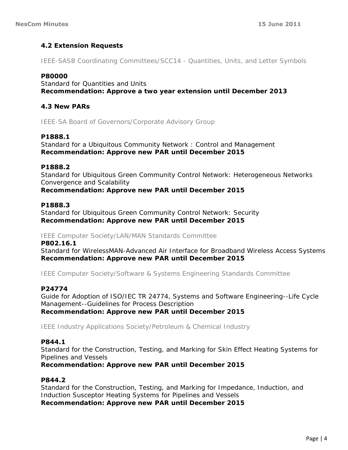# **4.2 Extension Requests**

*IEEE-SASB Coordinating Committees/SCC14 - Quantities, Units, and Letter Symbols* 

### **P80000**

Standard for Quantities and Units *Recommendation: Approve a two year extension until December 2013* 

### **4.3 New PARs**

*IEEE-SA Board of Governors/Corporate Advisory Group* 

### **P1888.1**

Standard for a Ubiquitous Community Network : Control and Management *Recommendation: Approve new PAR until December 2015*

### **P1888.2**

Standard for Ubiquitous Green Community Control Network: Heterogeneous Networks Convergence and Scalability *Recommendation: Approve new PAR until December 2015* 

#### **P1888.3**

Standard for Ubiquitous Green Community Control Network: Security *Recommendation: Approve new PAR until December 2015* 

#### *IEEE Computer Society/LAN/MAN Standards Committee*

**P802.16.1**  Standard for WirelessMAN-Advanced Air Interface for Broadband Wireless Access Systems *Recommendation: Approve new PAR until December 2015* 

*IEEE Computer Society/Software & Systems Engineering Standards Committee* 

### **P24774**

Guide for Adoption of ISO/IEC TR 24774, Systems and Software Engineering--Life Cycle Management--Guidelines for Process Description *Recommendation: Approve new PAR until December 2015* 

*IEEE Industry Applications Society/Petroleum & Chemical Industry* 

#### **P844.1**

Standard for the Construction, Testing, and Marking for Skin Effect Heating Systems for Pipelines and Vessels

*Recommendation: Approve new PAR until December 2015* 

#### **P844.2**

Standard for the Construction, Testing, and Marking for Impedance, Induction, and Induction Susceptor Heating Systems for Pipelines and Vessels *Recommendation: Approve new PAR until December 2015*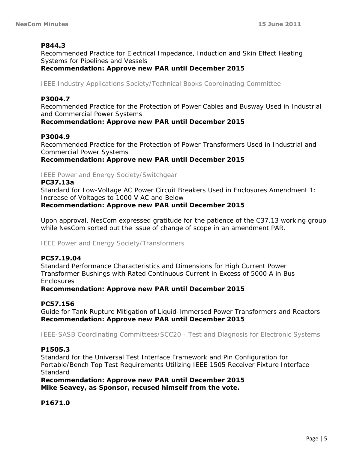### **P844.3**

Recommended Practice for Electrical Impedance, Induction and Skin Effect Heating Systems for Pipelines and Vessels

*Recommendation: Approve new PAR until December 2015* 

*IEEE Industry Applications Society/Technical Books Coordinating Committee* 

#### **P3004.7**

Recommended Practice for the Protection of Power Cables and Busway Used in Industrial and Commercial Power Systems

*Recommendation: Approve new PAR until December 2015* 

#### **P3004.9**

Recommended Practice for the Protection of Power Transformers Used in Industrial and Commercial Power Systems

*Recommendation: Approve new PAR until December 2015* 

### *IEEE Power and Energy Society/Switchgear*

#### **PC37.13a**

Standard for Low-Voltage AC Power Circuit Breakers Used in Enclosures Amendment 1: Increase of Voltages to 1000 V AC and Below *Recommendation: Approve new PAR until December 2015* 

Upon approval, NesCom expressed gratitude for the patience of the C37.13 working group while NesCom sorted out the issue of change of scope in an amendment PAR.

*IEEE Power and Energy Society/Transformers* 

#### **PC57.19.04**

Standard Performance Characteristics and Dimensions for High Current Power Transformer Bushings with Rated Continuous Current in Excess of 5000 A in Bus **Enclosures** 

*Recommendation: Approve new PAR until December 2015* 

#### **PC57.156**

Guide for Tank Rupture Mitigation of Liquid-Immersed Power Transformers and Reactors *Recommendation: Approve new PAR until December 2015* 

*IEEE-SASB Coordinating Committees/SCC20 - Test and Diagnosis for Electronic Systems* 

#### **P1505.3**

Standard for the Universal Test Interface Framework and Pin Configuration for Portable/Bench Top Test Requirements Utilizing IEEE 1505 Receiver Fixture Interface **Standard** 

*Recommendation: Approve new PAR until December 2015 Mike Seavey, as Sponsor, recused himself from the vote.* 

#### **P1671.0**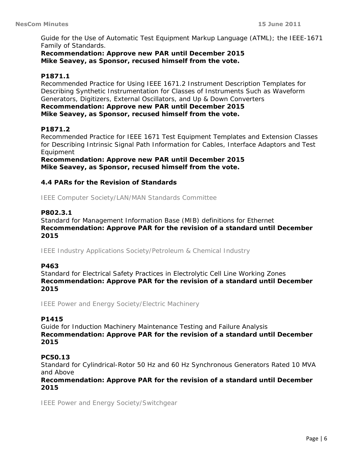Guide for the Use of Automatic Test Equipment Markup Language (ATML); the IEEE-1671 Family of Standards.

*Recommendation: Approve new PAR until December 2015 Mike Seavey, as Sponsor, recused himself from the vote.* 

### **P1871.1**

Recommended Practice for Using IEEE 1671.2 Instrument Description Templates for Describing Synthetic Instrumentation for Classes of Instruments Such as Waveform Generators, Digitizers, External Oscillators, and Up & Down Converters *Recommendation: Approve new PAR until December 2015* 

*Mike Seavey, as Sponsor, recused himself from the vote.* 

### **P1871.2**

Recommended Practice for IEEE 1671 Test Equipment Templates and Extension Classes for Describing Intrinsic Signal Path Information for Cables, Interface Adaptors and Test Equipment

*Recommendation: Approve new PAR until December 2015 Mike Seavey, as Sponsor, recused himself from the vote.* 

### **4.4 PARs for the Revision of Standards**

*IEEE Computer Society/LAN/MAN Standards Committee* 

### **P802.3.1**

Standard for Management Information Base (MIB) definitions for Ethernet *Recommendation: Approve PAR for the revision of a standard until December 2015* 

*IEEE Industry Applications Society/Petroleum & Chemical Industry* 

### **P463**

Standard for Electrical Safety Practices in Electrolytic Cell Line Working Zones *Recommendation: Approve PAR for the revision of a standard until December 2015* 

*IEEE Power and Energy Society/Electric Machinery* 

### **P1415**

Guide for Induction Machinery Maintenance Testing and Failure Analysis *Recommendation: Approve PAR for the revision of a standard until December 2015* 

#### **PC50.13**

Standard for Cylindrical-Rotor 50 Hz and 60 Hz Synchronous Generators Rated 10 MVA and Above

*Recommendation: Approve PAR for the revision of a standard until December 2015* 

*IEEE Power and Energy Society/Switchgear*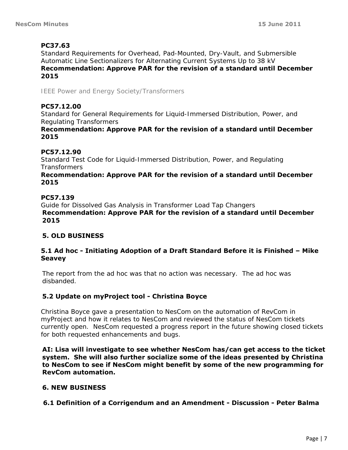# **PC37.63**

Standard Requirements for Overhead, Pad-Mounted, Dry-Vault, and Submersible Automatic Line Sectionalizers for Alternating Current Systems Up to 38 kV *Recommendation: Approve PAR for the revision of a standard until December 2015* 

*IEEE Power and Energy Society/Transformers* 

### **PC57.12.00**

Standard for General Requirements for Liquid-Immersed Distribution, Power, and Regulating Transformers

#### *Recommendation: Approve PAR for the revision of a standard until December 2015*

### **PC57.12.90**

Standard Test Code for Liquid-Immersed Distribution, Power, and Regulating Transformers

#### *Recommendation: Approve PAR for the revision of a standard until December 2015*

### **PC57.139**

Guide for Dissolved Gas Analysis in Transformer Load Tap Changers *Recommendation: Approve PAR for the revision of a standard until December 2015*

# **5. OLD BUSINESS**

### **5.1 Ad hoc - Initiating Adoption of a Draft Standard Before it is Finished – Mike Seavey**

The report from the ad hoc was that no action was necessary. The ad hoc was disbanded.

### **5.2 Update on myProject tool - Christina Boyce**

Christina Boyce gave a presentation to NesCom on the automation of RevCom in myProject and how it relates to NesCom and reviewed the status of NesCom tickets currently open. NesCom requested a progress report in the future showing closed tickets for both requested enhancements and bugs.

**AI: Lisa will investigate to see whether NesCom has/can get access to the ticket system. She will also further socialize some of the ideas presented by Christina to NesCom to see if NesCom might benefit by some of the new programming for RevCom automation.** 

### **6. NEW BUSINESS**

**6.1 Definition of a Corrigendum and an Amendment - Discussion - Peter Balma**